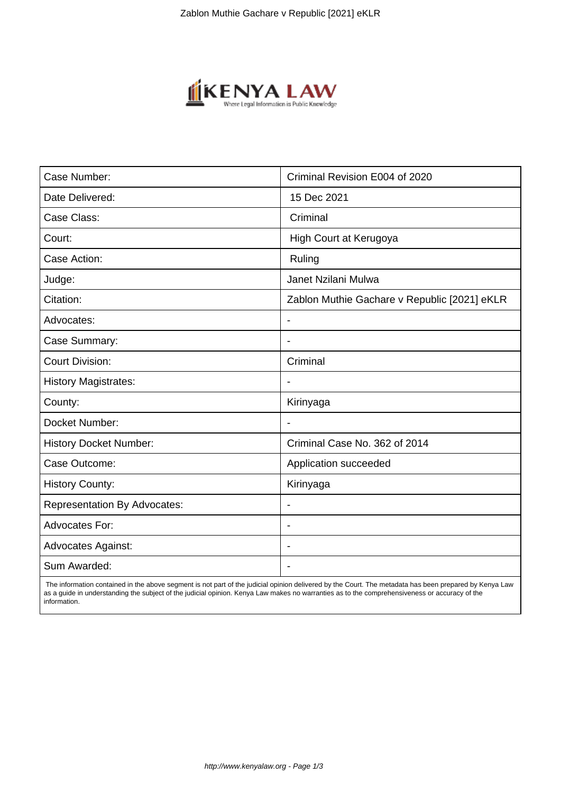

| Case Number:                        | Criminal Revision E004 of 2020               |
|-------------------------------------|----------------------------------------------|
| Date Delivered:                     | 15 Dec 2021                                  |
| Case Class:                         | Criminal                                     |
| Court:                              | High Court at Kerugoya                       |
| Case Action:                        | Ruling                                       |
| Judge:                              | Janet Nzilani Mulwa                          |
| Citation:                           | Zablon Muthie Gachare v Republic [2021] eKLR |
| Advocates:                          | $\blacksquare$                               |
| Case Summary:                       | $\blacksquare$                               |
| <b>Court Division:</b>              | Criminal                                     |
| <b>History Magistrates:</b>         |                                              |
| County:                             | Kirinyaga                                    |
| Docket Number:                      |                                              |
| <b>History Docket Number:</b>       | Criminal Case No. 362 of 2014                |
| Case Outcome:                       | Application succeeded                        |
| <b>History County:</b>              | Kirinyaga                                    |
| <b>Representation By Advocates:</b> | $\blacksquare$                               |
| <b>Advocates For:</b>               | $\overline{\phantom{a}}$                     |
| <b>Advocates Against:</b>           |                                              |
| Sum Awarded:                        |                                              |

 The information contained in the above segment is not part of the judicial opinion delivered by the Court. The metadata has been prepared by Kenya Law as a guide in understanding the subject of the judicial opinion. Kenya Law makes no warranties as to the comprehensiveness or accuracy of the information.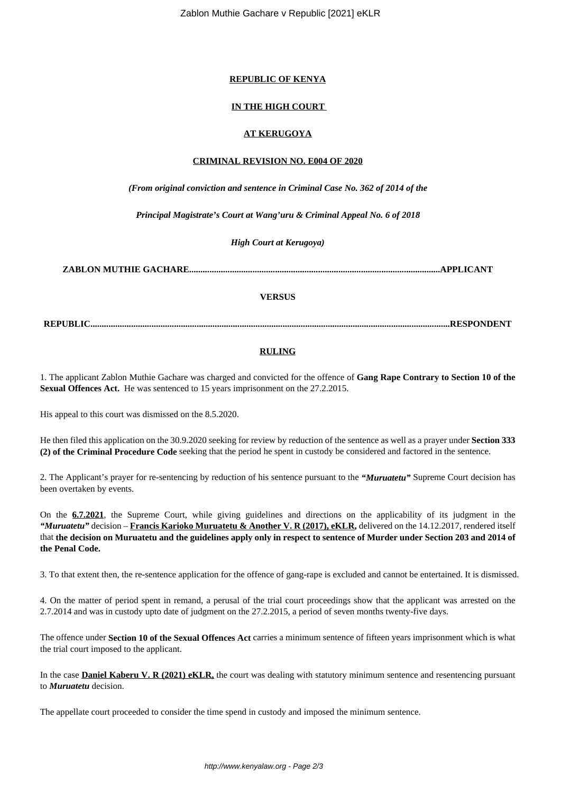Zablon Muthie Gachare v Republic [2021] eKLR

## **REPUBLIC OF KENYA**

# **IN THE HIGH COURT**

## **AT KERUGOYA**

## **CRIMINAL REVISION NO. E004 OF 2020**

*(From original conviction and sentence in Criminal Case No. 362 of 2014 of the*

*Principal Magistrate's Court at Wang'uru & Criminal Appeal No. 6 of 2018*

*High Court at Kerugoya)*

**ZABLON MUTHIE GACHARE...............................................................................................................APPLICANT**

## **VERSUS**

**REPUBLIC...............................................................................................................................................................RESPONDENT**

## **RULING**

1. The applicant Zablon Muthie Gachare was charged and convicted for the offence of **Gang Rape Contrary to Section 10 of the Sexual Offences Act.** He was sentenced to 15 years imprisonment on the 27.2.2015.

His appeal to this court was dismissed on the 8.5.2020.

He then filed this application on the 30.9.2020 seeking for review by reduction of the sentence as well as a prayer under **Section 333 (2) of the Criminal Procedure Code** seeking that the period he spent in custody be considered and factored in the sentence.

2. The Applicant's prayer for re-sentencing by reduction of his sentence pursuant to the *"Muruatetu"* Supreme Court decision has been overtaken by events.

On the **6.7.2021**, the Supreme Court, while giving guidelines and directions on the applicability of its judgment in the *"Muruatetu"* decision – **Francis Karioko Muruatetu & Another V. R (2017), eKLR,** delivered on the 14.12.2017, rendered itself that **the decision on Muruatetu and the guidelines apply only in respect to sentence of Murder under Section 203 and 2014 of the Penal Code.**

3. To that extent then, the re-sentence application for the offence of gang-rape is excluded and cannot be entertained. It is dismissed.

4. On the matter of period spent in remand, a perusal of the trial court proceedings show that the applicant was arrested on the 2.7.2014 and was in custody upto date of judgment on the 27.2.2015, a period of seven months twenty-five days.

The offence under **Section 10 of the Sexual Offences Act** carries a minimum sentence of fifteen years imprisonment which is what the trial court imposed to the applicant.

In the case **Daniel Kaberu V. R (2021) eKLR,** the court was dealing with statutory minimum sentence and resentencing pursuant to *Muruatetu* decision.

The appellate court proceeded to consider the time spend in custody and imposed the minimum sentence.